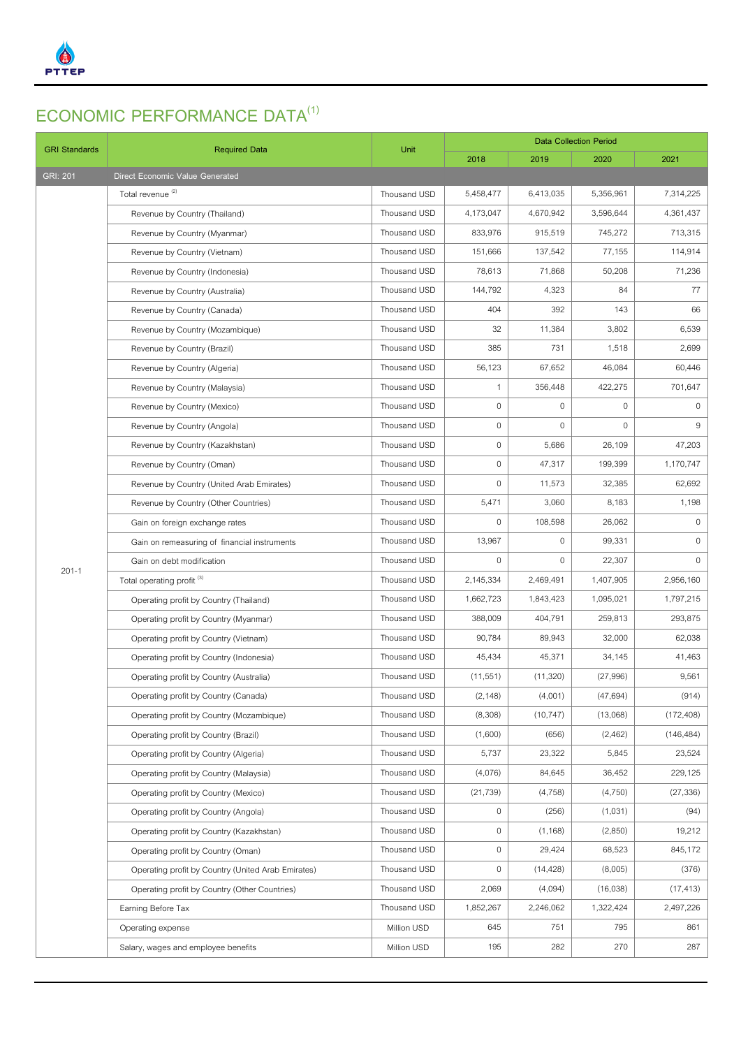

## **ECONOMIC PERFORMANCE DATA(1)**

| <b>GRI Standards</b> | <b>Required Data</b>                               | Unit         | <b>Data Collection Period</b> |              |              |              |
|----------------------|----------------------------------------------------|--------------|-------------------------------|--------------|--------------|--------------|
|                      |                                                    |              | 2018                          | 2019         | 2020         | 2021         |
| <b>GRI: 201</b>      | Direct Economic Value Generated                    |              |                               |              |              |              |
|                      | Total revenue <sup>(2)</sup>                       | Thousand USD | 5,458,477                     | 6,413,035    | 5,356,961    | 7,314,225    |
|                      | Revenue by Country (Thailand)                      | Thousand USD | 4,173,047                     | 4,670,942    | 3,596,644    | 4,361,437    |
|                      | Revenue by Country (Myanmar)                       | Thousand USD | 833,976                       | 915,519      | 745,272      | 713,315      |
|                      | Revenue by Country (Vietnam)                       | Thousand USD | 151,666                       | 137,542      | 77,155       | 114,914      |
|                      | Revenue by Country (Indonesia)                     | Thousand USD | 78,613                        | 71,868       | 50,208       | 71,236       |
|                      | Revenue by Country (Australia)                     | Thousand USD | 144,792                       | 4,323        | 84           | 77           |
|                      | Revenue by Country (Canada)                        | Thousand USD | 404                           | 392          | 143          | 66           |
|                      | Revenue by Country (Mozambique)                    | Thousand USD | 32                            | 11,384       | 3,802        | 6,539        |
|                      | Revenue by Country (Brazil)                        | Thousand USD | 385                           | 731          | 1,518        | 2,699        |
|                      | Revenue by Country (Algeria)                       | Thousand USD | 56,123                        | 67,652       | 46,084       | 60,446       |
|                      | Revenue by Country (Malaysia)                      | Thousand USD | $\mathbf{1}$                  | 356,448      | 422,275      | 701,647      |
|                      | Revenue by Country (Mexico)                        | Thousand USD | $\mathbf{0}$                  | $\mathbf{0}$ | $\mathbf{0}$ | $\mathbf 0$  |
|                      | Revenue by Country (Angola)                        | Thousand USD | $\mathbf 0$                   | $\mathbf{0}$ | $\mathbf{0}$ | 9            |
|                      | Revenue by Country (Kazakhstan)                    | Thousand USD | $\mathbf 0$                   | 5,686        | 26,109       | 47,203       |
|                      | Revenue by Country (Oman)                          | Thousand USD | $\mathbf 0$                   | 47,317       | 199,399      | 1,170,747    |
|                      | Revenue by Country (United Arab Emirates)          | Thousand USD | $\mathbf 0$                   | 11,573       | 32,385       | 62,692       |
|                      | Revenue by Country (Other Countries)               | Thousand USD | 5,471                         | 3,060        | 8,183        | 1,198        |
|                      | Gain on foreign exchange rates                     | Thousand USD | 0                             | 108,598      | 26,062       | $\mathbf 0$  |
|                      | Gain on remeasuring of financial instruments       | Thousand USD | 13,967                        | $\mathbf 0$  | 99,331       | $\mathbf 0$  |
|                      | Gain on debt modification                          | Thousand USD | $\mathbf{0}$                  | $\mathbf{0}$ | 22,307       | $\mathbf{0}$ |
| $201 - 1$            | Total operating profit <sup>(3)</sup>              | Thousand USD | 2,145,334                     | 2,469,491    | 1,407,905    | 2,956,160    |
|                      | Operating profit by Country (Thailand)             | Thousand USD | 1,662,723                     | 1,843,423    | 1,095,021    | 1,797,215    |
|                      | Operating profit by Country (Myanmar)              | Thousand USD | 388,009                       | 404,791      | 259,813      | 293,875      |
|                      | Operating profit by Country (Vietnam)              | Thousand USD | 90,784                        | 89,943       | 32,000       | 62,038       |
|                      | Operating profit by Country (Indonesia)            | Thousand USD | 45,434                        | 45,371       | 34,145       | 41,463       |
|                      | Operating profit by Country (Australia)            | Thousand USD | (11, 551)                     | (11,320)     | (27,996)     | 9,561        |
|                      | Operating profit by Country (Canada)               | Thousand USD | (2, 148)                      | (4,001)      | (47, 694)    | (914)        |
|                      | Operating profit by Country (Mozambique)           | Thousand USD | (8,308)                       | (10, 747)    | (13,068)     | (172, 408)   |
|                      | Operating profit by Country (Brazil)               | Thousand USD | (1,600)                       | (656)        | (2,462)      | (146, 484)   |
|                      | Operating profit by Country (Algeria)              | Thousand USD | 5,737                         | 23,322       | 5,845        | 23,524       |
|                      | Operating profit by Country (Malaysia)             | Thousand USD | (4,076)                       | 84,645       | 36,452       | 229,125      |
|                      | Operating profit by Country (Mexico)               | Thousand USD | (21, 739)                     | (4,758)      | (4,750)      | (27, 336)    |
|                      | Operating profit by Country (Angola)               | Thousand USD | 0                             | (256)        | (1,031)      | (94)         |
|                      | Operating profit by Country (Kazakhstan)           | Thousand USD | $\mathbf 0$                   | (1, 168)     | (2,850)      | 19,212       |
|                      | Operating profit by Country (Oman)                 | Thousand USD | $\mathbf 0$                   | 29,424       | 68,523       | 845,172      |
|                      | Operating profit by Country (United Arab Emirates) | Thousand USD | $\mathbf 0$                   | (14, 428)    | (8,005)      | (376)        |
|                      | Operating profit by Country (Other Countries)      | Thousand USD | 2,069                         | (4,094)      | (16,038)     | (17, 413)    |
|                      | Earning Before Tax                                 | Thousand USD | 1,852,267                     | 2,246,062    | 1,322,424    | 2,497,226    |
|                      | Operating expense                                  | Million USD  | 645                           | 751          | 795          | 861          |
|                      | Salary, wages and employee benefits                | Million USD  | 195                           | 282          | 270          | 287          |
|                      |                                                    |              |                               |              |              |              |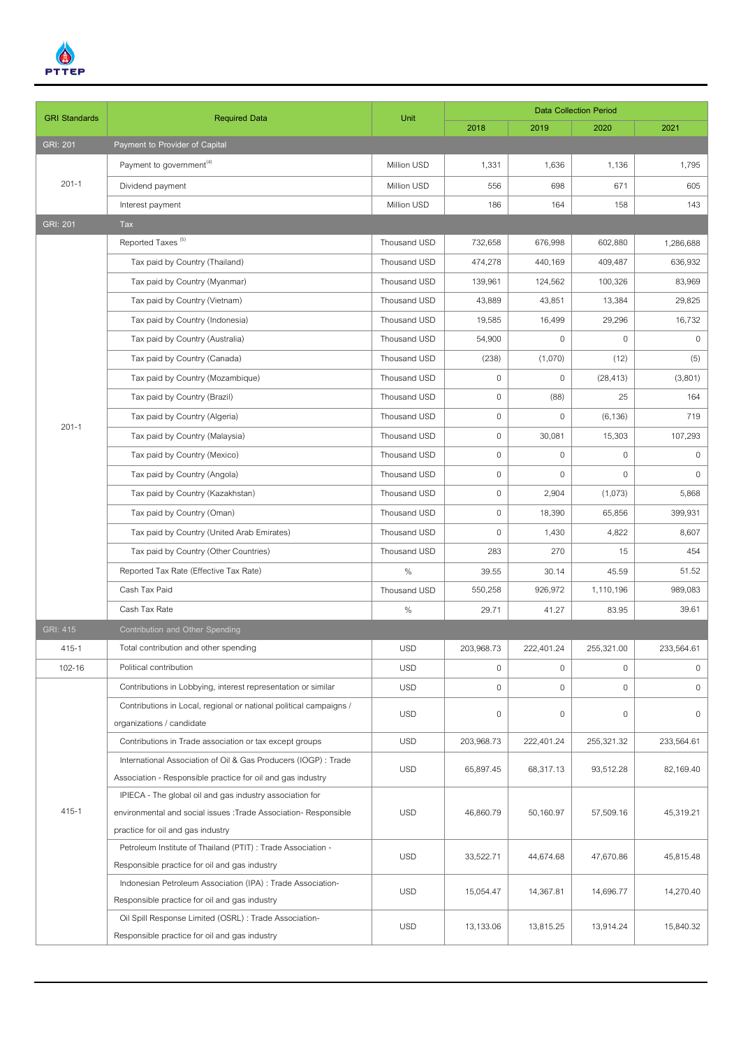

| <b>GRI Standards</b> | <b>Required Data</b>                                                                                  | Unit         | <b>Data Collection Period</b> |                     |              |              |  |
|----------------------|-------------------------------------------------------------------------------------------------------|--------------|-------------------------------|---------------------|--------------|--------------|--|
|                      |                                                                                                       |              | 2018                          | 2019                | 2020         | 2021         |  |
| <b>GRI: 201</b>      | Payment to Provider of Capital                                                                        |              |                               |                     |              |              |  |
| $201 - 1$            | Payment to government <sup>(4)</sup>                                                                  | Million USD  | 1,331                         | 1,636               | 1,136        | 1,795        |  |
|                      | Dividend payment                                                                                      | Million USD  | 556                           | 698                 | 671          | 605          |  |
|                      | Interest payment                                                                                      | Million USD  | 186                           | 164                 | 158          | 143          |  |
| <b>GRI: 201</b>      | Tax                                                                                                   |              |                               |                     |              |              |  |
|                      | Reported Taxes <sup>(5)</sup>                                                                         | Thousand USD | 732,658                       | 676,998             | 602,880      | 1,286,688    |  |
|                      | Tax paid by Country (Thailand)                                                                        | Thousand USD | 474,278                       | 440,169             | 409.487      | 636,932      |  |
|                      | Tax paid by Country (Myanmar)                                                                         | Thousand USD | 139,961                       | 124,562             | 100,326      | 83,969       |  |
|                      | Tax paid by Country (Vietnam)                                                                         | Thousand USD | 43,889                        | 43,851              | 13,384       | 29,825       |  |
|                      | Tax paid by Country (Indonesia)                                                                       | Thousand USD | 19,585                        | 16,499              | 29,296       | 16,732       |  |
|                      | Tax paid by Country (Australia)                                                                       | Thousand USD | 54,900                        | $\mathbf 0$         | $\mathbf{0}$ | $\mathbf 0$  |  |
|                      | Tax paid by Country (Canada)                                                                          | Thousand USD | (238)                         | (1,070)             | (12)         | (5)          |  |
|                      | Tax paid by Country (Mozambique)                                                                      | Thousand USD | $\mathbf 0$                   | $\mathbf 0$         | (28, 413)    | (3,801)      |  |
|                      | Tax paid by Country (Brazil)                                                                          | Thousand USD | $\mathbf 0$                   | (88)                | 25           | 164          |  |
|                      | Tax paid by Country (Algeria)                                                                         | Thousand USD | $\mathbf 0$                   | $\mathbf 0$         | (6, 136)     | 719          |  |
| $201 - 1$            | Tax paid by Country (Malaysia)                                                                        | Thousand USD | $\mathbf 0$                   | 30,081              | 15,303       | 107,293      |  |
|                      | Tax paid by Country (Mexico)                                                                          | Thousand USD | $\mathbf 0$                   | $\mathbf 0$         | $\mathbf 0$  | $\mathbf 0$  |  |
|                      | Tax paid by Country (Angola)                                                                          | Thousand USD | $\mathbf 0$                   | $\mathbf 0$         | $\mathbf{0}$ | $\mathbf{0}$ |  |
|                      | Tax paid by Country (Kazakhstan)                                                                      | Thousand USD | $\mathbf 0$                   | 2,904               | (1,073)      | 5,868        |  |
|                      | Tax paid by Country (Oman)                                                                            | Thousand USD | $\mathbf 0$                   | 18,390              | 65,856       | 399,931      |  |
|                      | Tax paid by Country (United Arab Emirates)                                                            | Thousand USD | $\mathbf 0$                   | 1,430               | 4,822        | 8,607        |  |
|                      | Tax paid by Country (Other Countries)                                                                 | Thousand USD | 283                           | 270                 | 15           | 454          |  |
|                      | Reported Tax Rate (Effective Tax Rate)                                                                | $\%$         | 39.55                         | 30.14               | 45.59        | 51.52        |  |
|                      | Cash Tax Paid                                                                                         | Thousand USD | 550,258                       | 926,972             | 1,110,196    | 989,083      |  |
|                      | Cash Tax Rate                                                                                         | $\%$         | 29.71                         | 41.27               | 83.95        | 39.61        |  |
| <b>GRI: 415</b>      | Contribution and Other Spending                                                                       |              |                               |                     |              |              |  |
| 415-1                | Total contribution and other spending                                                                 | <b>USD</b>   | 203,968.73                    | 222,401.24          | 255,321.00   | 233,564.61   |  |
| 102-16               | Political contribution                                                                                | <b>USD</b>   | $\mathbf 0$                   | $\mathbf 0$         | $\mathbf 0$  | $\mathbf 0$  |  |
|                      | Contributions in Lobbying, interest representation or similar                                         | <b>USD</b>   | $\mathbf 0$                   | 0                   | 0            | 0            |  |
|                      | Contributions in Local, regional or national political campaigns /                                    | <b>USD</b>   | $\mathbf 0$                   | $\mathsf{O}\xspace$ | $\mathbf 0$  | $\mathbf 0$  |  |
| 415-1                | organizations / candidate                                                                             |              |                               |                     |              |              |  |
|                      | Contributions in Trade association or tax except groups                                               | <b>USD</b>   | 203,968.73                    | 222,401.24          | 255,321.32   | 233,564.61   |  |
|                      | International Association of Oil & Gas Producers (IOGP): Trade                                        | <b>USD</b>   | 65,897.45                     | 68,317.13           | 93,512.28    | 82,169.40    |  |
|                      | Association - Responsible practice for oil and gas industry                                           |              |                               |                     |              |              |  |
|                      | IPIECA - The global oil and gas industry association for                                              | <b>USD</b>   | 46,860.79                     | 50,160.97           | 57,509.16    | 45,319.21    |  |
|                      | environmental and social issues : Trade Association- Responsible<br>practice for oil and gas industry |              |                               |                     |              |              |  |
|                      | Petroleum Institute of Thailand (PTIT) : Trade Association -                                          |              |                               |                     |              |              |  |
|                      | Responsible practice for oil and gas industry                                                         | <b>USD</b>   | 33,522.71                     | 44,674.68           | 47,670.86    | 45,815.48    |  |
|                      | Indonesian Petroleum Association (IPA) : Trade Association-                                           | <b>USD</b>   | 15,054.47                     | 14,367.81           | 14,696.77    | 14,270.40    |  |
|                      | Responsible practice for oil and gas industry                                                         |              |                               |                     |              |              |  |
|                      | Oil Spill Response Limited (OSRL) : Trade Association-                                                | <b>USD</b>   |                               |                     |              |              |  |
|                      | Responsible practice for oil and gas industry                                                         |              | 13,133.06                     | 13,815.25           | 13,914.24    | 15,840.32    |  |